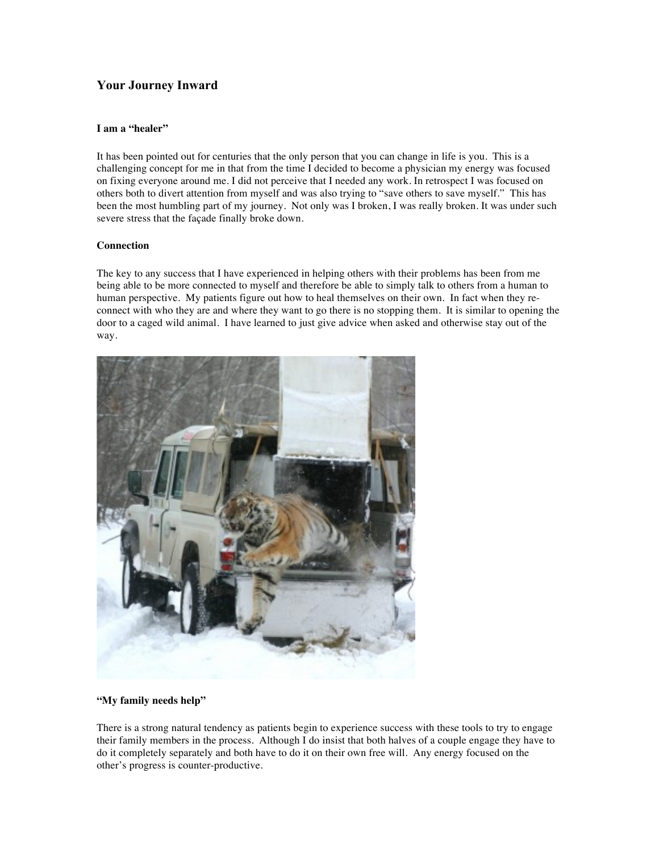## **Your Journey Inward**

## **I am a "healer"**

It has been pointed out for centuries that the only person that you can change in life is you. This is a challenging concept for me in that from the time I decided to become a physician my energy was focused on fixing everyone around me. I did not perceive that I needed any work. In retrospect I was focused on others both to divert attention from myself and was also trying to "save others to save myself." This has been the most humbling part of my journey. Not only was I broken, I was really broken. It was under such severe stress that the façade finally broke down.

## **Connection**

The key to any success that I have experienced in helping others with their problems has been from me being able to be more connected to myself and therefore be able to simply talk to others from a human to human perspective. My patients figure out how to heal themselves on their own. In fact when they reconnect with who they are and where they want to go there is no stopping them. It is similar to opening the door to a caged wild animal. I have learned to just give advice when asked and otherwise stay out of the way.



## **"My family needs help"**

There is a strong natural tendency as patients begin to experience success with these tools to try to engage their family members in the process. Although I do insist that both halves of a couple engage they have to do it completely separately and both have to do it on their own free will. Any energy focused on the other's progress is counter-productive.